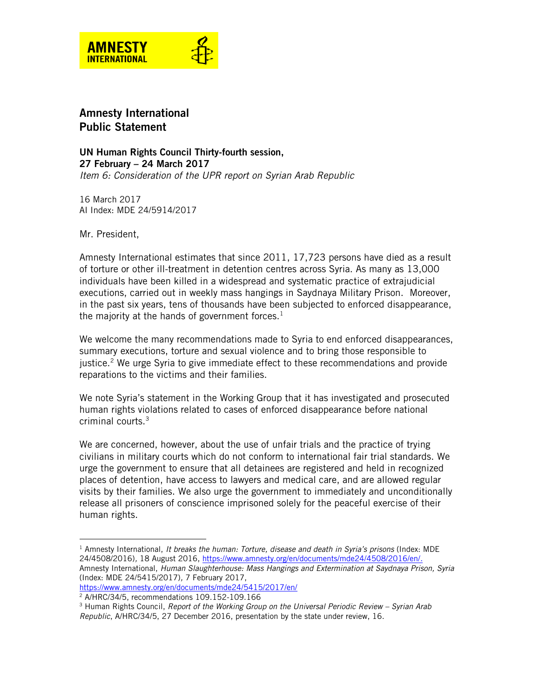

## Amnesty International Public Statement

UN Human Rights Council Thirty-fourth session, 27 February – 24 March 2017 *Item 6: Consideration of the UPR report on Syrian Arab Republic*

16 March 2017 AI Index: MDE 24/5914/2017

Mr. President,

 $\overline{a}$ 

Amnesty International estimates that since 2011, 17,723 persons have died as a result of torture or other ill-treatment in detention centres across Syria. As many as 13,000 individuals have been killed in a widespread and systematic practice of extrajudicial executions, carried out in weekly mass hangings in Saydnaya Military Prison. Moreover, in the past six years, tens of thousands have been subjected to enforced disappearance, the majority at the hands of government forces. $^1$ 

We welcome the many recommendations made to Syria to end enforced disappearances, summary executions, torture and sexual violence and to bring those responsible to justice.<sup>2</sup> We urge Syria to give immediate effect to these recommendations and provide reparations to the victims and their families.

We note Syria's statement in the Working Group that it has investigated and prosecuted human rights violations related to cases of enforced disappearance before national criminal courts.<sup>3</sup>

We are concerned, however, about the use of unfair trials and the practice of trying civilians in military courts which do not conform to international fair trial standards. We urge the government to ensure that all detainees are registered and held in recognized places of detention, have access to lawyers and medical care, and are allowed regular visits by their families. We also urge the government to immediately and unconditionally release all prisoners of conscience imprisoned solely for the peaceful exercise of their human rights.

<sup>1</sup> Amnesty International, *It breaks the human: Torture, disease and death in Syria's prisons* (Index: MDE 24/4508/2016)*,* 18 August 2016, [https://www.amnesty.org/en/documents/mde24/4508/2016/en/.](https://www.amnesty.org/en/documents/mde24/4508/2016/en/) Amnesty International, *Human Slaughterhouse: Mass Hangings and Extermination at Saydnaya Prison, Syria* (Index: MDE 24/5415/2017)*,* 7 February 2017, <https://www.amnesty.org/en/documents/mde24/5415/2017/en/>

<sup>2</sup> A/HRC/34/5, recommendations 109.152-109.166

<sup>&</sup>lt;sup>3</sup> Human Rights Council, *Report of the Working Group on the Universal Periodic Review - Syrian Arab Republic*, A/HRC/34/5, 27 December 2016, presentation by the state under review, 16.